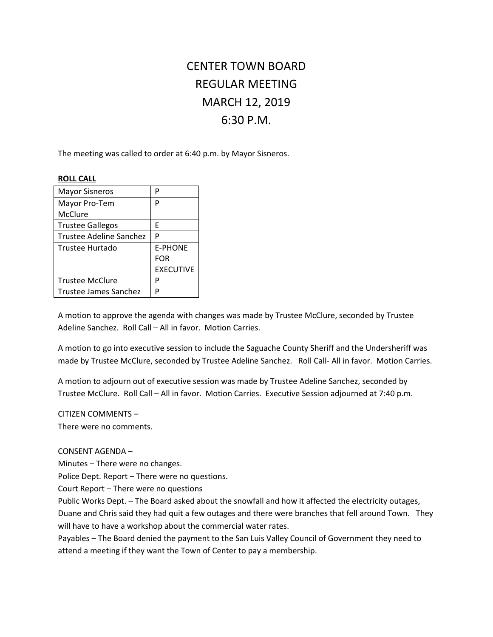# CENTER TOWN BOARD REGULAR MEETING MARCH 12, 2019 6:30 P.M.

The meeting was called to order at 6:40 p.m. by Mayor Sisneros.

## **ROLL CALL**

| <b>Mayor Sisneros</b>   | р                |
|-------------------------|------------------|
| Mayor Pro-Tem           | р                |
| McClure                 |                  |
| <b>Trustee Gallegos</b> | F                |
| Trustee Adeline Sanchez | P                |
| <b>Trustee Hurtado</b>  | <b>E-PHONE</b>   |
|                         | <b>FOR</b>       |
|                         | <b>EXECUTIVE</b> |
| <b>Trustee McClure</b>  | р                |
| Trustee James Sanchez   | D                |

A motion to approve the agenda with changes was made by Trustee McClure, seconded by Trustee Adeline Sanchez. Roll Call – All in favor. Motion Carries.

A motion to go into executive session to include the Saguache County Sheriff and the Undersheriff was made by Trustee McClure, seconded by Trustee Adeline Sanchez. Roll Call- All in favor. Motion Carries.

A motion to adjourn out of executive session was made by Trustee Adeline Sanchez, seconded by Trustee McClure. Roll Call – All in favor. Motion Carries. Executive Session adjourned at 7:40 p.m.

# CITIZEN COMMENTS –

There were no comments.

# CONSENT AGENDA –

Minutes – There were no changes.

Police Dept. Report – There were no questions.

Court Report – There were no questions

Public Works Dept. – The Board asked about the snowfall and how it affected the electricity outages, Duane and Chris said they had quit a few outages and there were branches that fell around Town. They will have to have a workshop about the commercial water rates.

Payables – The Board denied the payment to the San Luis Valley Council of Government they need to attend a meeting if they want the Town of Center to pay a membership.